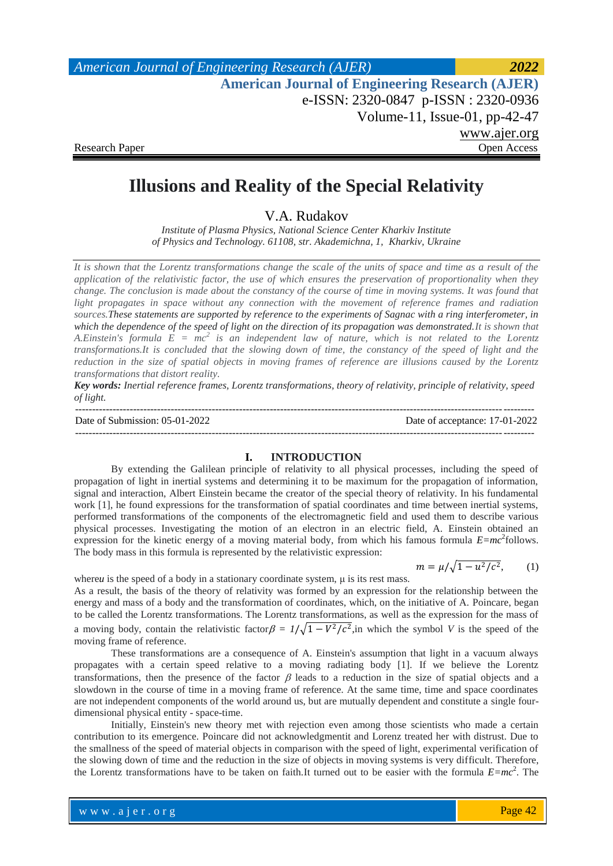# **Illusions and Reality of the Special Relativity**

V.A. Rudakov

*Institute of Plasma Physics, National Science Center Kharkiv Institute of Physics and Technology. 61108, str. Akademichna, 1, Kharkiv, Ukraine*

*It is shown that the Lorentz transformations change the scale of the units of space and time as a result of the application of the relativistic factor, the use of which ensures the preservation of proportionality when they change. The conclusion is made about the constancy of the course of time in moving systems. It was found that light propagates in space without any connection with the movement of reference frames and radiation sources.These statements are supported by reference to the experiments of Sagnac with a ring interferometer, in which the dependence of the speed of light on the direction of its propagation was demonstrated.It is shown that A.Einstein's formula E = mc<sup>2</sup> is an independent law of nature, which is not related to the Lorentz transformations.It is concluded that the slowing down of time, the constancy of the speed of light and the reduction in the size of spatial objects in moving frames of reference are illusions caused by the Lorentz transformations that distort reality.*

*Key words: Inertial reference frames, Lorentz transformations, theory of relativity, principle of relativity, speed of light.*

-------------------------------------------------------------------------------------------------------------------------------------- Date of Submission: 05-01-2022 Date of acceptance: 17-01-2022 --------------------------------------------------------------------------------------------------------------------------------------

#### **I. INTRODUCTION**

By extending the Galilean principle of relativity to all physical processes, including the speed of propagation of light in inertial systems and determining it to be maximum for the propagation of information, signal and interaction, Albert Einstein became the creator of the special theory of relativity. In his fundamental work [1], he found expressions for the transformation of spatial coordinates and time between inertial systems, performed transformations of the components of the electromagnetic field and used them to describe various physical processes. Investigating the motion of an electron in an electric field, A. Einstein obtained an expression for the kinetic energy of a moving material body, from which his famous formula  $E=mc^2$  follows. The body mass in this formula is represented by the relativistic expression:

$$
m = \mu / \sqrt{1 - u^2/c^2}, \qquad (1)
$$

where*u* is the speed of a body in a stationary coordinate system, μ is its rest mass.

As a result, the basis of the theory of relativity was formed by an expression for the relationship between the energy and mass of a body and the transformation of coordinates, which, on the initiative of A. Poincare, began to be called the Lorentz transformations. The Lorentz transformations, as well as the expression for the mass of a moving body, contain the relativistic factor  $\beta = 1/\sqrt{1 - V^2/c^2}$ , in which the symbol *V* is the speed of the moving frame of reference.

These transformations are a consequence of A. Einstein's assumption that light in a vacuum always propagates with a certain speed relative to a moving radiating body [1]. If we believe the Lorentz transformations, then the presence of the factor  $\beta$  leads to a reduction in the size of spatial objects and a slowdown in the course of time in a moving frame of reference. At the same time, time and space coordinates are not independent components of the world around us, but are mutually dependent and constitute a single fourdimensional physical entity - space-time.

Initially, Einstein's new theory met with rejection even among those scientists who made a certain contribution to its emergence. Poincare did not acknowledgmentit and Lorenz treated her with distrust. Due to the smallness of the speed of material objects in comparison with the speed of light, experimental verification of the slowing down of time and the reduction in the size of objects in moving systems is very difficult. Therefore, the Lorentz transformations have to be taken on faith.It turned out to be easier with the formula *E=mc*<sup>2</sup> . The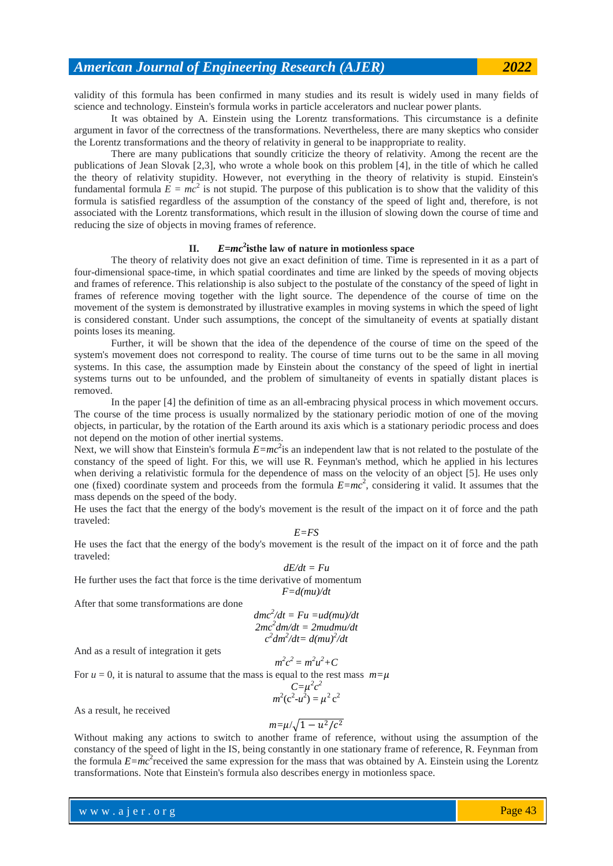validity of this formula has been confirmed in many studies and its result is widely used in many fields of science and technology. Einstein's formula works in particle accelerators and nuclear power plants.

It was obtained by A. Einstein using the Lorentz transformations. This circumstance is a definite argument in favor of the correctness of the transformations. Nevertheless, there are many skeptics who consider the Lorentz transformations and the theory of relativity in general to be inappropriate to reality.

There are many publications that soundly criticize the theory of relativity. Among the recent are the publications of Jean Slovak [2,3], who wrote a whole book on this problem [4], in the title of which he called the theory of relativity stupidity. However, not everything in the theory of relativity is stupid. Einstein's fundamental formula  $E = mc^2$  is not stupid. The purpose of this publication is to show that the validity of this formula is satisfied regardless of the assumption of the constancy of the speed of light and, therefore, is not associated with the Lorentz transformations, which result in the illusion of slowing down the course of time and reducing the size of objects in moving frames of reference.

#### **II.** *E=mc***<sup>2</sup> isthe law of nature in motionless space**

The theory of relativity does not give an exact definition of time. Time is represented in it as a part of four-dimensional space-time, in which spatial coordinates and time are linked by the speeds of moving objects and frames of reference. This relationship is also subject to the postulate of the constancy of the speed of light in frames of reference moving together with the light source. The dependence of the course of time on the movement of the system is demonstrated by illustrative examples in moving systems in which the speed of light is considered constant. Under such assumptions, the concept of the simultaneity of events at spatially distant points loses its meaning.

Further, it will be shown that the idea of the dependence of the course of time on the speed of the system's movement does not correspond to reality. The course of time turns out to be the same in all moving systems. In this case, the assumption made by Einstein about the constancy of the speed of light in inertial systems turns out to be unfounded, and the problem of simultaneity of events in spatially distant places is removed.

In the paper [4] the definition of time as an all-embracing physical process in which movement occurs. The course of the time process is usually normalized by the stationary periodic motion of one of the moving objects, in particular, by the rotation of the Earth around its axis which is a stationary periodic process and does not depend on the motion of other inertial systems.

Next, we will show that Einstein's formula  $E=mc^2$  is an independent law that is not related to the postulate of the constancy of the speed of light. For this, we will use R. Feynman's method, which he applied in his lectures when deriving a relativistic formula for the dependence of mass on the velocity of an object [5]. He uses only one (fixed) coordinate system and proceeds from the formula *E=mc*<sup>2</sup> , considering it valid. It assumes that the mass depends on the speed of the body.

He uses the fact that the energy of the body's movement is the result of the impact on it of force and the path traveled: *E=FS*

He uses the fact that the energy of the body's movement is the result of the impact on it of force and the path traveled: *dE/dt = Fu*

He further uses the fact that force is the time derivative of momentum

*F=d(mu)/dt*

After that some transformations are done

$$
dmc2/dt = Fu = ud(mu)/dt
$$
  
\n
$$
2mc2dm/dt = 2mudmu/dt
$$
  
\n
$$
c2dm2/dt = d(mu)2/dt
$$

And as a result of integration it gets

For 
$$
u = 0
$$
, it is natural to assume that the mass is equal to the rest mass  $m=\mu$   

$$
C=\mu^2c^2
$$

$$
C=\mu^2 c^2
$$

$$
m^2(c^2-u^2)=\mu^2 c^2
$$

As a result, he received

$$
m = \mu/\sqrt{1 - u^2/c^2}
$$

Without making any actions to switch to another frame of reference, without using the assumption of the constancy of the speed of light in the IS, being constantly in one stationary frame of reference, R. Feynman from the formula  $E=mc^2$  received the same expression for the mass that was obtained by A. Einstein using the Lorentz transformations. Note that Einstein's formula also describes energy in motionless space.

www.ajer.org where  $\mathcal{L} = \mathcal{L} \left( \mathcal{L} \right)$  is the set of  $\mathcal{L} \left( \mathcal{L} \right)$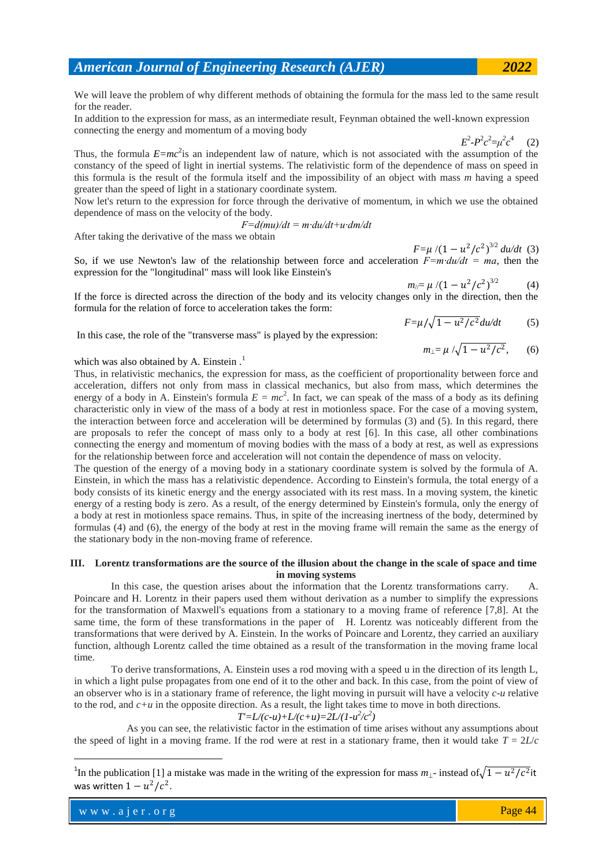We will leave the problem of why different methods of obtaining the formula for the mass led to the same result for the reader.

In addition to the expression for mass, as an intermediate result, Feynman obtained the well-known expression connecting the energy and momentum of a moving body

 $E^2 - P^2 c^2 = \mu^2 c^4$  (2)

Thus, the formula  $E=mc^2$  is an independent law of nature, which is not associated with the assumption of the constancy of the speed of light in inertial systems. The relativistic form of the dependence of mass on speed in this formula is the result of the formula itself and the impossibility of an object with mass *m* having a speed greater than the speed of light in a stationary coordinate system.

Now let's return to the expression for force through the derivative of momentum, in which we use the obtained dependence of mass on the velocity of the body.

*F=d(mu)/dt = m∙du/dt+u∙dm/dt*

After taking the derivative of the mass we obtain

 $F=\mu/(1-u^2/c^2)^{3/2} du/dt$  (3) So, if we use Newton's law of the relationship between force and acceleration *F=m∙du/dt = ma*, then the expression for the "longitudinal" mass will look like Einstein's

$$
m_{||} = \mu / (1 - u^2/c^2)^{3/2} \tag{4}
$$

If the force is directed across the direction of the body and its velocity changes only in the direction, then the formula for the relation of force to acceleration takes the form:

$$
F = \mu / \sqrt{1 - u^2/c^2} du/dt \tag{5}
$$

In this case, the role of the "transverse mass" is played by the expression:

$$
m_{\perp} = \mu / \sqrt{1 - u^2/c^2}
$$
, (6)

which was also obtained by A. Einstein .<sup>1</sup>

Thus, in relativistic mechanics, the expression for mass, as the coefficient of proportionality between force and acceleration, differs not only from mass in classical mechanics, but also from mass, which determines the energy of a body in A. Einstein's formula  $E = mc^2$ . In fact, we can speak of the mass of a body as its defining characteristic only in view of the mass of a body at rest in motionless space. For the case of a moving system, the interaction between force and acceleration will be determined by formulas (3) and (5). In this regard, there are proposals to refer the concept of mass only to a body at rest [6]. In this case, all other combinations connecting the energy and momentum of moving bodies with the mass of a body at rest, as well as expressions for the relationship between force and acceleration will not contain the dependence of mass on velocity.

The question of the energy of a moving body in a stationary coordinate system is solved by the formula of A. Einstein, in which the mass has a relativistic dependence. According to Einstein's formula, the total energy of a body consists of its kinetic energy and the energy associated with its rest mass. In a moving system, the kinetic energy of a resting body is zero. As a result, of the energy determined by Einstein's formula, only the energy of a body at rest in motionless space remains. Thus, in spite of the increasing inertness of the body, determined by formulas (4) and (6), the energy of the body at rest in the moving frame will remain the same as the energy of the stationary body in the non-moving frame of reference.

#### **III. Lorentz transformations are the source of the illusion about the change in the scale of space and time in moving systems**

In this case, the question arises about the information that the Lorentz transformations carry. A. Poincare and H. Lorentz in their papers used them without derivation as a number to simplify the expressions for the transformation of Maxwell's equations from a stationary to a moving frame of reference [7,8]. At the same time, the form of these transformations in the paper of H. Lorentz was noticeably different from the transformations that were derived by A. Einstein. In the works of Poincare and Lorentz, they carried an auxiliary function, although Lorentz called the time obtained as a result of the transformation in the moving frame local time.

To derive transformations, A. Einstein uses a rod moving with a speed u in the direction of its length L, in which a light pulse propagates from one end of it to the other and back. In this case, from the point of view of an observer who is in a stationary frame of reference, the light moving in pursuit will have a velocity *c-u* relative to the rod, and  $c+u$  in the opposite direction. As a result, the light takes time to move in both directions.

# $T'=L/(c-u)+L/(c+u)=2L/(1-u^2/c^2)$

 As you can see, the relativistic factor in the estimation of time arises without any assumptions about the speed of light in a moving frame. If the rod were at rest in a stationary frame, then it would take  $T = 2L/c$ 

**.** 

<sup>&</sup>lt;sup>1</sup>In the publication [1] a mistake was made in the writing of the expression for mass  $m_{\perp}$ - instead of  $\sqrt{1-u^2/c^2}$  it was written  $1 - u^2/c^2$ .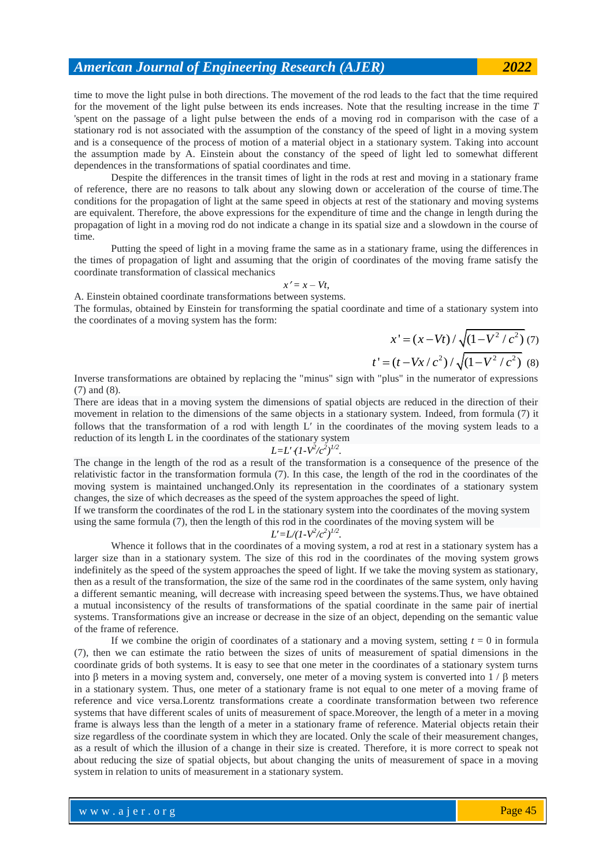time to move the light pulse in both directions. The movement of the rod leads to the fact that the time required for the movement of the light pulse between its ends increases. Note that the resulting increase in the time *T*  'spent on the passage of a light pulse between the ends of a moving rod in comparison with the case of a stationary rod is not associated with the assumption of the constancy of the speed of light in a moving system and is a consequence of the process of motion of a material object in a stationary system. Taking into account the assumption made by A. Einstein about the constancy of the speed of light led to somewhat different dependences in the transformations of spatial coordinates and time.

Despite the differences in the transit times of light in the rods at rest and moving in a stationary frame of reference, there are no reasons to talk about any slowing down or acceleration of the course of time.The conditions for the propagation of light at the same speed in objects at rest of the stationary and moving systems are equivalent. Therefore, the above expressions for the expenditure of time and the change in length during the propagation of light in a moving rod do not indicate a change in its spatial size and a slowdown in the course of time.

Putting the speed of light in a moving frame the same as in a stationary frame, using the differences in the times of propagation of light and assuming that the origin of coordinates of the moving frame satisfy the coordinate transformation of classical mechanics

$$
x'=x-Vt,
$$

A. Einstein obtained coordinate transformations between systems.

The formulas, obtained by Einstein for transforming the spatial coordinate and time of a stationary system into the coordinates of a moving system has the form:

$$
x' = (x - Vt) / \sqrt{(1 - V^2 / c^2)} \tag{7}
$$
  

$$
t' = (t - Vx / c^2) / \sqrt{(1 - V^2 / c^2)} \tag{8}
$$

Inverse transformations are obtained by replacing the "minus" sign with "plus" in the numerator of expressions (7) and (8).

There are ideas that in a moving system the dimensions of spatial objects are reduced in the direction of their movement in relation to the dimensions of the same objects in a stationary system. Indeed, from formula (7) it follows that the transformation of a rod with length L' in the coordinates of the moving system leads to a reduction of its length L in the coordinates of the stationary system

$$
L{=}L'\cdot (1{-}V^2/c^2)^{1/2}
$$

*.*

The change in the length of the rod as a result of the transformation is a consequence of the presence of the relativistic factor in the transformation formula (7). In this case, the length of the rod in the coordinates of the moving system is maintained unchanged.Only its representation in the coordinates of a stationary system changes, the size of which decreases as the speed of the system approaches the speed of light.

If we transform the coordinates of the rod L in the stationary system into the coordinates of the moving system using the same formula (7), then the length of this rod in the coordinates of the moving system will be *2 1/2 .*

$$
L'=L/(1\cdot V^2/c^2)^{l/2}
$$

Whence it follows that in the coordinates of a moving system, a rod at rest in a stationary system has a larger size than in a stationary system. The size of this rod in the coordinates of the moving system grows indefinitely as the speed of the system approaches the speed of light. If we take the moving system as stationary, then as a result of the transformation, the size of the same rod in the coordinates of the same system, only having a different semantic meaning, will decrease with increasing speed between the systems.Thus, we have obtained a mutual inconsistency of the results of transformations of the spatial coordinate in the same pair of inertial systems. Transformations give an increase or decrease in the size of an object, depending on the semantic value of the frame of reference.

If we combine the origin of coordinates of a stationary and a moving system, setting  $t = 0$  in formula (7), then we can estimate the ratio between the sizes of units of measurement of spatial dimensions in the coordinate grids of both systems. It is easy to see that one meter in the coordinates of a stationary system turns into  $\beta$  meters in a moving system and, conversely, one meter of a moving system is converted into  $1/\beta$  meters in a stationary system. Thus, one meter of a stationary frame is not equal to one meter of a moving frame of reference and vice versa.Lorentz transformations create a coordinate transformation between two reference systems that have different scales of units of measurement of space.Moreover, the length of a meter in a moving frame is always less than the length of a meter in a stationary frame of reference. Material objects retain their size regardless of the coordinate system in which they are located. Only the scale of their measurement changes, as a result of which the illusion of a change in their size is created. Therefore, it is more correct to speak not about reducing the size of spatial objects, but about changing the units of measurement of space in a moving system in relation to units of measurement in a stationary system.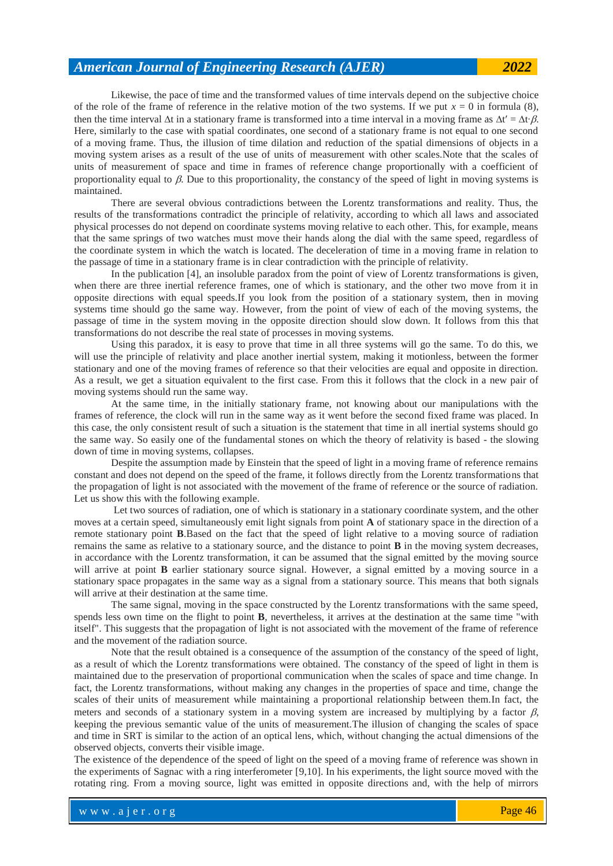Likewise, the pace of time and the transformed values of time intervals depend on the subjective choice of the role of the frame of reference in the relative motion of the two systems. If we put  $x = 0$  in formula (8), then the time interval  $\Delta t$  in a stationary frame is transformed into a time interval in a moving frame as  $\Delta t' = \Delta t \cdot \beta$ . Here, similarly to the case with spatial coordinates, one second of a stationary frame is not equal to one second of a moving frame. Thus, the illusion of time dilation and reduction of the spatial dimensions of objects in a moving system arises as a result of the use of units of measurement with other scales.Note that the scales of units of measurement of space and time in frames of reference change proportionally with a coefficient of proportionality equal to  $\beta$ . Due to this proportionality, the constancy of the speed of light in moving systems is maintained.

There are several obvious contradictions between the Lorentz transformations and reality. Thus, the results of the transformations contradict the principle of relativity, according to which all laws and associated physical processes do not depend on coordinate systems moving relative to each other. This, for example, means that the same springs of two watches must move their hands along the dial with the same speed, regardless of the coordinate system in which the watch is located. The deceleration of time in a moving frame in relation to the passage of time in a stationary frame is in clear contradiction with the principle of relativity.

In the publication [4], an insoluble paradox from the point of view of Lorentz transformations is given, when there are three inertial reference frames, one of which is stationary, and the other two move from it in opposite directions with equal speeds.If you look from the position of a stationary system, then in moving systems time should go the same way. However, from the point of view of each of the moving systems, the passage of time in the system moving in the opposite direction should slow down. It follows from this that transformations do not describe the real state of processes in moving systems.

Using this paradox, it is easy to prove that time in all three systems will go the same. To do this, we will use the principle of relativity and place another inertial system, making it motionless, between the former stationary and one of the moving frames of reference so that their velocities are equal and opposite in direction. As a result, we get a situation equivalent to the first case. From this it follows that the clock in a new pair of moving systems should run the same way.

At the same time, in the initially stationary frame, not knowing about our manipulations with the frames of reference, the clock will run in the same way as it went before the second fixed frame was placed. In this case, the only consistent result of such a situation is the statement that time in all inertial systems should go the same way. So easily one of the fundamental stones on which the theory of relativity is based - the slowing down of time in moving systems, collapses.

Despite the assumption made by Einstein that the speed of light in a moving frame of reference remains constant and does not depend on the speed of the frame, it follows directly from the Lorentz transformations that the propagation of light is not associated with the movement of the frame of reference or the source of radiation. Let us show this with the following example.

Let two sources of radiation, one of which is stationary in a stationary coordinate system, and the other moves at a certain speed, simultaneously emit light signals from point **A** of stationary space in the direction of a remote stationary point **B**.Based on the fact that the speed of light relative to a moving source of radiation remains the same as relative to a stationary source, and the distance to point **B** in the moving system decreases, in accordance with the Lorentz transformation, it can be assumed that the signal emitted by the moving source will arrive at point **B** earlier stationary source signal. However, a signal emitted by a moving source in a stationary space propagates in the same way as a signal from a stationary source. This means that both signals will arrive at their destination at the same time.

The same signal, moving in the space constructed by the Lorentz transformations with the same speed, spends less own time on the flight to point **B**, nevertheless, it arrives at the destination at the same time "with itself". This suggests that the propagation of light is not associated with the movement of the frame of reference and the movement of the radiation source.

Note that the result obtained is a consequence of the assumption of the constancy of the speed of light, as a result of which the Lorentz transformations were obtained. The constancy of the speed of light in them is maintained due to the preservation of proportional communication when the scales of space and time change. In fact, the Lorentz transformations, without making any changes in the properties of space and time, change the scales of their units of measurement while maintaining a proportional relationship between them.In fact, the meters and seconds of a stationary system in a moving system are increased by multiplying by a factor  $\beta$ , keeping the previous semantic value of the units of measurement.The illusion of changing the scales of space and time in SRT is similar to the action of an optical lens, which, without changing the actual dimensions of the observed objects, converts their visible image.

The existence of the dependence of the speed of light on the speed of a moving frame of reference was shown in the experiments of Sagnac with a ring interferometer [9,10]. In his experiments, the light source moved with the rotating ring. From a moving source, light was emitted in opposite directions and, with the help of mirrors